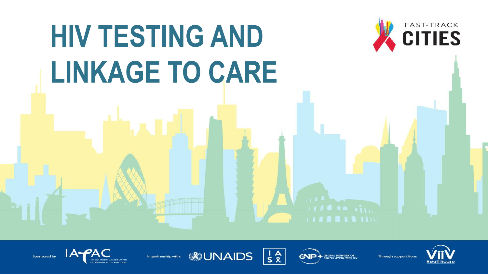# HIV TESTING AND LINKAGE TO CARE



Sponsored by

In partnership with:





GNP **GLOBAL NETWORK OF<br>PEOPLE LIVING WITH HIV**  Through support from:

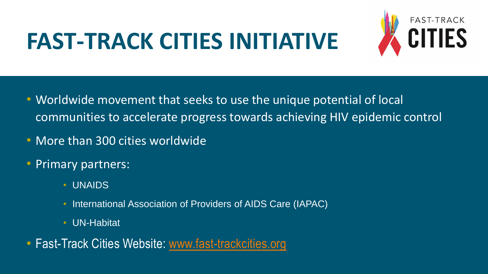## **FAST-TRACK CITIES INITIATIVE**



- Worldwide movement that seeks to use the unique potential of local communities to accelerate progress towards achieving HIV epidemic control
- More than 300 cities worldwide
- Primary partners:
	- UNAIDS
	- International Association of Providers of AIDS Care (IAPAC)
	- UN-Habitat
- Fast-Track Cities Website: [www.fast-trackcities.org](http://www.fast-trackcities.org/)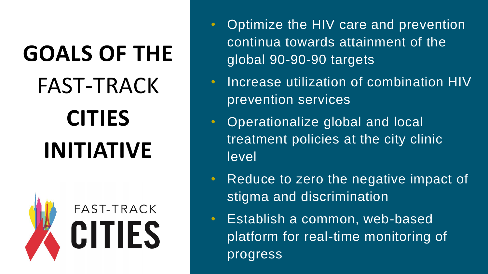# **GOALS OF THE** FAST-TRACK **CITIES INITIATIVE**



- Optimize the HIV care and prevention continua towards attainment of the global 90-90-90 targets
- Increase utilization of combination HIV prevention services
- Operationalize global and local treatment policies at the city clinic level
- Reduce to zero the negative impact of stigma and discrimination
- Establish a common, web-based platform for real-time monitoring of progress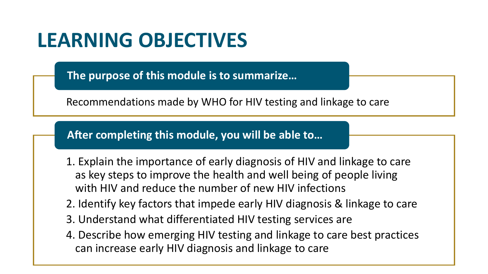#### **LEARNING OBJECTIVES**

**The purpose of this module is to summarize…** 

Recommendations made by WHO for HIV testing and linkage to care

**After completing this module, you will be able to…**

- 1. Explain the importance of early diagnosis of HIV and linkage to care as key steps to improve the health and well being of people living with HIV and reduce the number of new HIV infections
- 2. Identify key factors that impede early HIV diagnosis & linkage to care
- 3. Understand what differentiated HIV testing services are
- 4. Describe how emerging HIV testing and linkage to care best practices can increase early HIV diagnosis and linkage to care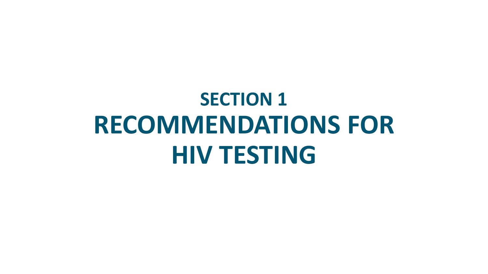# **SECTION 1 RECOMMENDATIONS FOR HIV TESTING**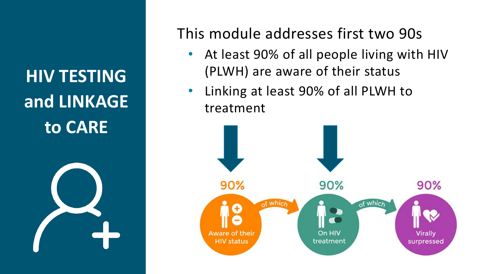**HIV TESTING and LINKAGE to CARE**



This module addresses first two 90s

- At least 90% of all people living with HIV (PLWH) are aware of their status
- Linking at least 90% of all PLWH to treatment

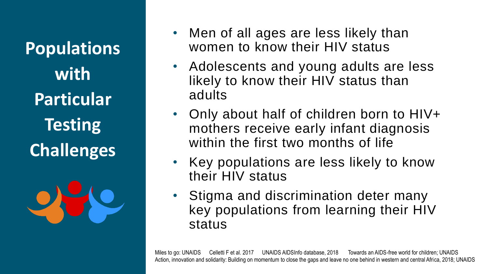**Populations with Particular Testing Challenges**



- Men of all ages are less likely than women to know their HIV status
- Adolescents and young adults are less likely to know their HIV status than adults
- Only about half of children born to HIV+ mothers receive early infant diagnosis within the first two months of life
- Key populations are less likely to know their HIV status
- Stigma and discrimination deter many key populations from learning their HIV status

Miles to go: UNAIDS Celletti F et al. 2017 UNAIDS AIDSInfo database, 2018 Towards an AIDS-free world for children; UNAIDS Action, innovation and solidarity: Building on momentum to close the gaps and leave no one behind in western and central Africa, 2018; UNAIDS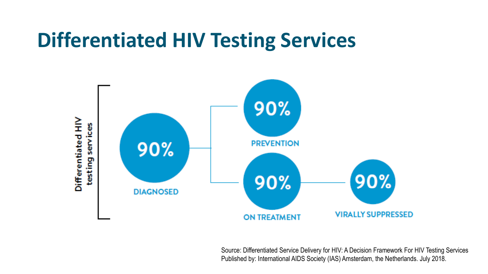#### **Differentiated HIV Testing Services**



Source: Differentiated Service Delivery for HIV: A Decision Framework For HIV Testing Services Published by: International AIDS Society (IAS) Amsterdam, the Netherlands. July 2018.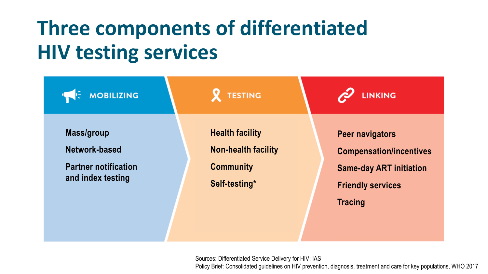### **Three components of differentiated HIV testing services**

| <b>MOBILIZING</b>                                                                      | <b>TESTING</b>                                                                            | <b>LINKING</b>                                                                                                                           |  |  |  |  |  |
|----------------------------------------------------------------------------------------|-------------------------------------------------------------------------------------------|------------------------------------------------------------------------------------------------------------------------------------------|--|--|--|--|--|
| <b>Mass/group</b><br>Network-based<br><b>Partner notification</b><br>and index testing | <b>Health facility</b><br><b>Non-health facility</b><br><b>Community</b><br>Self-testing* | <b>Peer navigators</b><br><b>Compensation/incentives</b><br><b>Same-day ART initiation</b><br><b>Friendly services</b><br><b>Tracing</b> |  |  |  |  |  |
|                                                                                        |                                                                                           |                                                                                                                                          |  |  |  |  |  |

Sources: Differentiated Service Delivery for HIV; IAS Policy Brief: Consolidated guidelines on HIV prevention, diagnosis, treatment and care for key populations, WHO 2017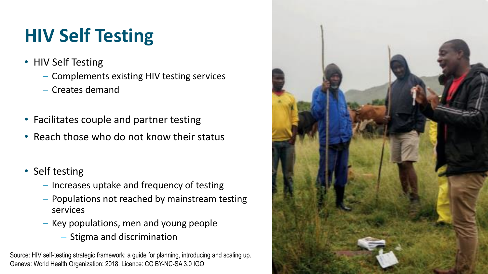#### **HIV Self Testing**

- HIV Self Testing
	- − Complements existing HIV testing services
	- − Creates demand
- Facilitates couple and partner testing
- Reach those who do not know their status
- Self testing
	- − Increases uptake and frequency of testing
	- − Populations not reached by mainstream testing services
	- − Key populations, men and young people
		- Stigma and discrimination

Source: HIV self-testing strategic framework: a guide for planning, introducing and scaling up. Geneva: World Health Organization; 2018. Licence: CC BY-NC-SA 3.0 IGO

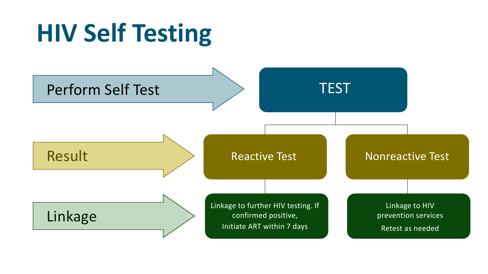# **HIV Self Testing**

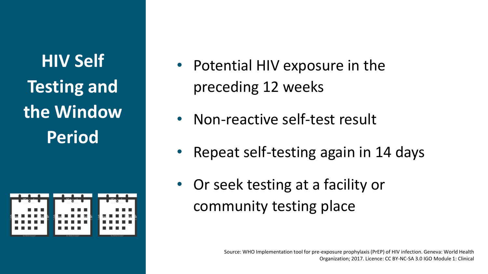**HIV Self Testing and the Window Period**

|     |                 |                                                                                                                                                                                                                                                                                                                                                                                                                                                                                         |  |        | .               |   |  |   |                       |   |  |
|-----|-----------------|-----------------------------------------------------------------------------------------------------------------------------------------------------------------------------------------------------------------------------------------------------------------------------------------------------------------------------------------------------------------------------------------------------------------------------------------------------------------------------------------|--|--------|-----------------|---|--|---|-----------------------|---|--|
|     |                 | <b>COL</b>                                                                                                                                                                                                                                                                                                                                                                                                                                                                              |  |        |                 | . |  |   |                       |   |  |
|     |                 | $\sim$ $\blacksquare$ $\blacksquare$ $\blacksquare$ $\blacksquare$ $\blacksquare$ $\blacksquare$ $\blacksquare$ $\blacksquare$ $\blacksquare$ $\blacksquare$ $\blacksquare$ $\blacksquare$ $\blacksquare$ $\blacksquare$ $\blacksquare$ $\blacksquare$ $\blacksquare$ $\blacksquare$ $\blacksquare$ $\blacksquare$ $\blacksquare$ $\blacksquare$ $\blacksquare$ $\blacksquare$ $\blacksquare$ $\blacksquare$ $\blacksquare$ $\blacksquare$ $\blacksquare$ $\blacksquare$ $\blacksquare$ |  | $\sim$ | l III i R       |   |  |   | $\alpha$ and $\alpha$ |   |  |
| . . | a se            |                                                                                                                                                                                                                                                                                                                                                                                                                                                                                         |  | . .    |                 |   |  |   | a a r                 |   |  |
|     |                 |                                                                                                                                                                                                                                                                                                                                                                                                                                                                                         |  | Π      |                 |   |  | г |                       | H |  |
|     | by Getty Images |                                                                                                                                                                                                                                                                                                                                                                                                                                                                                         |  |        | by Getty Images |   |  |   | by Getty Images       |   |  |

- Potential HIV exposure in the preceding 12 weeks
- Non-reactive self-test result
- Repeat self-testing again in 14 days
- Or seek testing at a facility or community testing place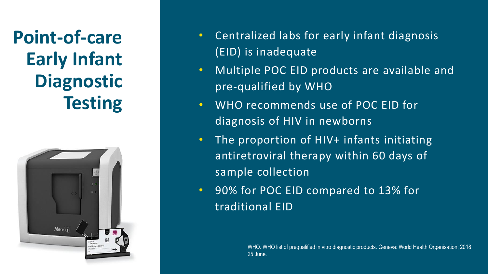Early Infant **Diagnostic the Window Window Point-of-care Diagnostic Testing**



- Centralized labs for early infant diagnosis (EID) is inadequate
- Multiple POC EID products are available and pre-qualified by WHO
- WHO recommends use of POC EID for diagnosis of HIV in newborns
- The proportion of HIV+ infants initiating antiretroviral therapy within 60 days of sample collection
- 90% for POC EID compared to 13% for traditional EID

WHO. WHO list of prequalified in vitro diagnostic products. Geneva: World Health Organisation; 2018 25 June.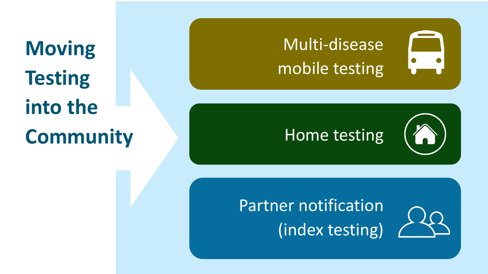**Moving Testing into the Community**

#### Multi-disease mobile testing

# Home testing

Partner notification (index testing)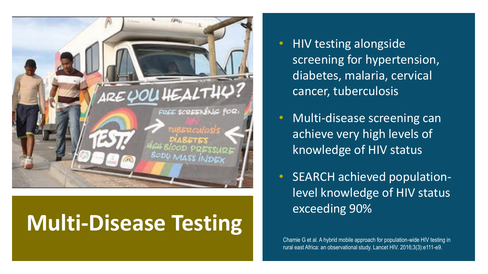

#### **Multi-Disease Testing**

- HIV testing alongside screening for hypertension, diabetes, malaria, cervical cancer, tuberculosis
- Multi-disease screening can achieve very high levels of knowledge of HIV status
- SEARCH achieved populationlevel knowledge of HIV status exceeding 90%

Chamie G et al. A hybrid mobile approach for population-wide HIV testing in rural east Africa: an observational study. Lancet HIV. 2016;3(3):e111-e9.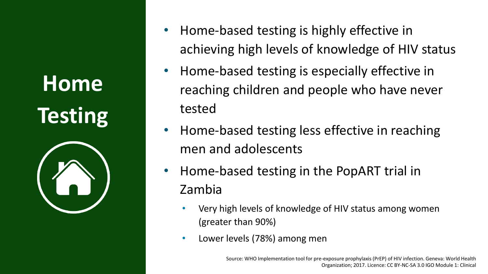# **Home Testing**



- Home-based testing is highly effective in achieving high levels of knowledge of HIV status
- Home-based testing is especially effective in reaching children and people who have never tested
- Home-based testing less effective in reaching men and adolescents
- Home-based testing in the PopART trial in Zambia
	- Very high levels of knowledge of HIV status among women (greater than 90%)
	- Lower levels (78%) among men

Source: WHO Implementation tool for pre-exposure prophylaxis (PrEP) of HIV infection. Geneva: World Health Organization; 2017. Licence: CC BY-NC-SA 3.0 IGO Module 1: Clinical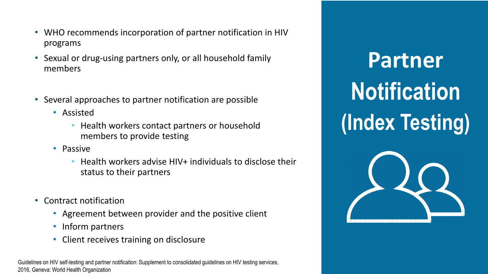- WHO recommends incorporation of partner notification in HIV programs
- Sexual or drug-using partners only, or all household family members
- **Home** • Several approaches to partner notification are possible
	- Assisted
- Assisted<br>• Health workers contact partners or household members to provide testing
	- Passive
		- Health workers advise HIV+ individuals to disclose their status to their partners
- Contract notification
	- Agreement between provider and the positive client
	- Inform partners
	- Client receives training on disclosure

Guidelines on HIV self-testing and partner notification: Supplement to consolidated guidelines on HIV testing services, 2016, Geneva: World Health Organization

**Partner Notification (Index Testing)**

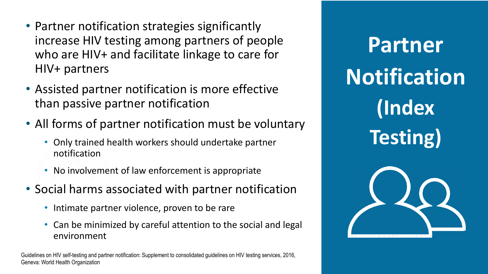- Partner notification strategies significantly increase HIV testing among partners of people who are HIV+ and facilitate linkage to care for HIV+ partners
- Assisted partner notification is more effective than passive partner notification
- All forms of partner notification must be voluntary
	- Only trained health workers should undertake partner notification
	- No involvement of law enforcement is appropriate
- Social harms associated with partner notification
	- Intimate partner violence, proven to be rare
	- Can be minimized by careful attention to the social and legal environment

Guidelines on HIV self-testing and partner notification: Supplement to consolidated guidelines on HIV testing services, 2016, Geneva: World Health Organization

**Partner Notification (Index Testing)**

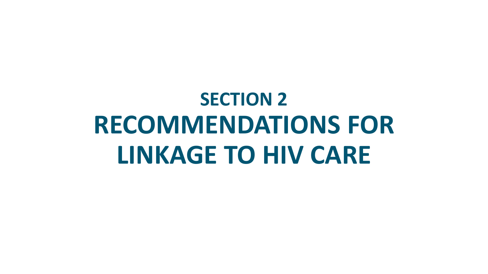# **SECTION 2 RECOMMENDATIONS FOR LINKAGE TO HIV CARE**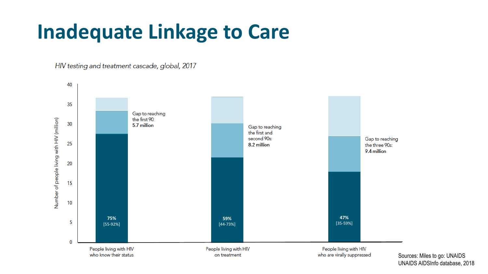#### **Inadequate Linkage to Care**

HIV testing and treatment cascade, global, 2017



Sources: Miles to go: UNAIDS UNAIDS AIDSInfo database, 2018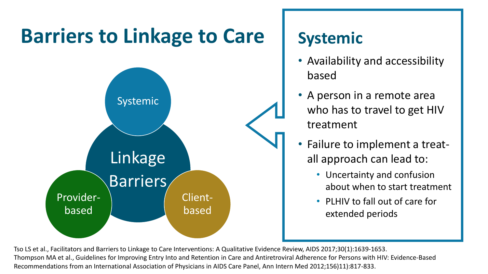#### **Barriers to Linkage to Care Systemic**



- Availability and accessibility based
- A person in a remote area who has to travel to get HIV treatment
- Failure to implement a treatall approach can lead to:
	- Uncertainty and confusion about when to start treatment
	- PLHIV to fall out of care for extended periods

Tso LS et al., Facilitators and Barriers to Linkage to Care Interventions: A Qualitative Evidence Review, AIDS 2017;30(1):1639-1653. Thompson MA et al., Guidelines for Improving Entry Into and Retention in Care and Antiretroviral Adherence for Persons with HIV: Evidence-Based Recommendations from an International Association of Physicians in AIDS Care Panel, Ann Intern Med 2012;156)11):817-833.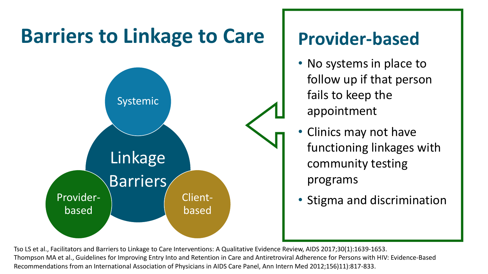

- No systems in place to follow up if that person fails to keep the appointment
- Clinics may not have functioning linkages with community testing programs
- Stigma and discrimination

Tso LS et al., Facilitators and Barriers to Linkage to Care Interventions: A Qualitative Evidence Review, AIDS 2017;30(1):1639-1653. Thompson MA et al., Guidelines for Improving Entry Into and Retention in Care and Antiretroviral Adherence for Persons with HIV: Evidence-Based Recommendations from an International Association of Physicians in AIDS Care Panel, Ann Intern Med 2012;156)11):817-833.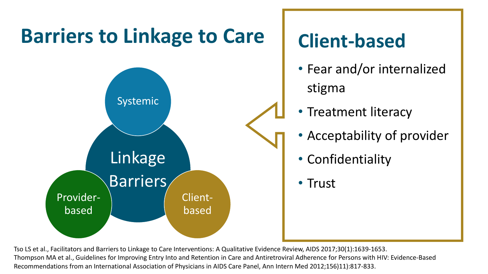![](_page_22_Figure_0.jpeg)

Tso LS et al., Facilitators and Barriers to Linkage to Care Interventions: A Qualitative Evidence Review, AIDS 2017;30(1):1639-1653. Thompson MA et al., Guidelines for Improving Entry Into and Retention in Care and Antiretroviral Adherence for Persons with HIV: Evidence-Based Recommendations from an International Association of Physicians in AIDS Care Panel, Ann Intern Med 2012;156)11):817-833.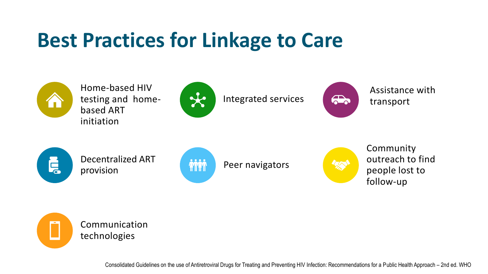#### **Best Practices for Linkage to Care**

![](_page_23_Picture_1.jpeg)

Home-based HIV testing and homebased ART initiation

![](_page_23_Picture_3.jpeg)

Integrated services

![](_page_23_Picture_5.jpeg)

Assistance with transport

![](_page_23_Picture_7.jpeg)

Decentralized ART Decentralized ART **ANTIFIED ANTIFIED PEER NATIONAL PROPERTY DETAILS** 

![](_page_23_Picture_9.jpeg)

![](_page_23_Picture_11.jpeg)

Community outreach to find people lost to follow-up

Communication technologies

Consolidated Guidelines on the use of Antiretroviral Drugs for Treating and Preventing HIV Infection: Recommendations for a Public Health Approach – 2nd ed. WHO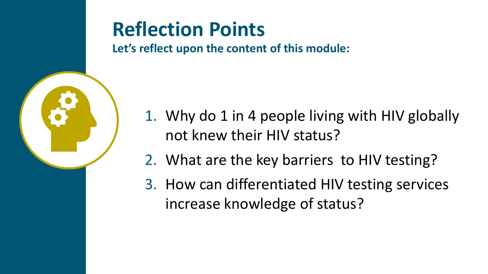![](_page_24_Picture_0.jpeg)

#### **Reflection Points**

**Let's reflect upon the content of this module:**

- 1. Why do 1 in 4 people living with HIV globally not knew their HIV status?
- 2. What are the key barriers to HIV testing?
- 3. How can differentiated HIV testing services increase knowledge of status?